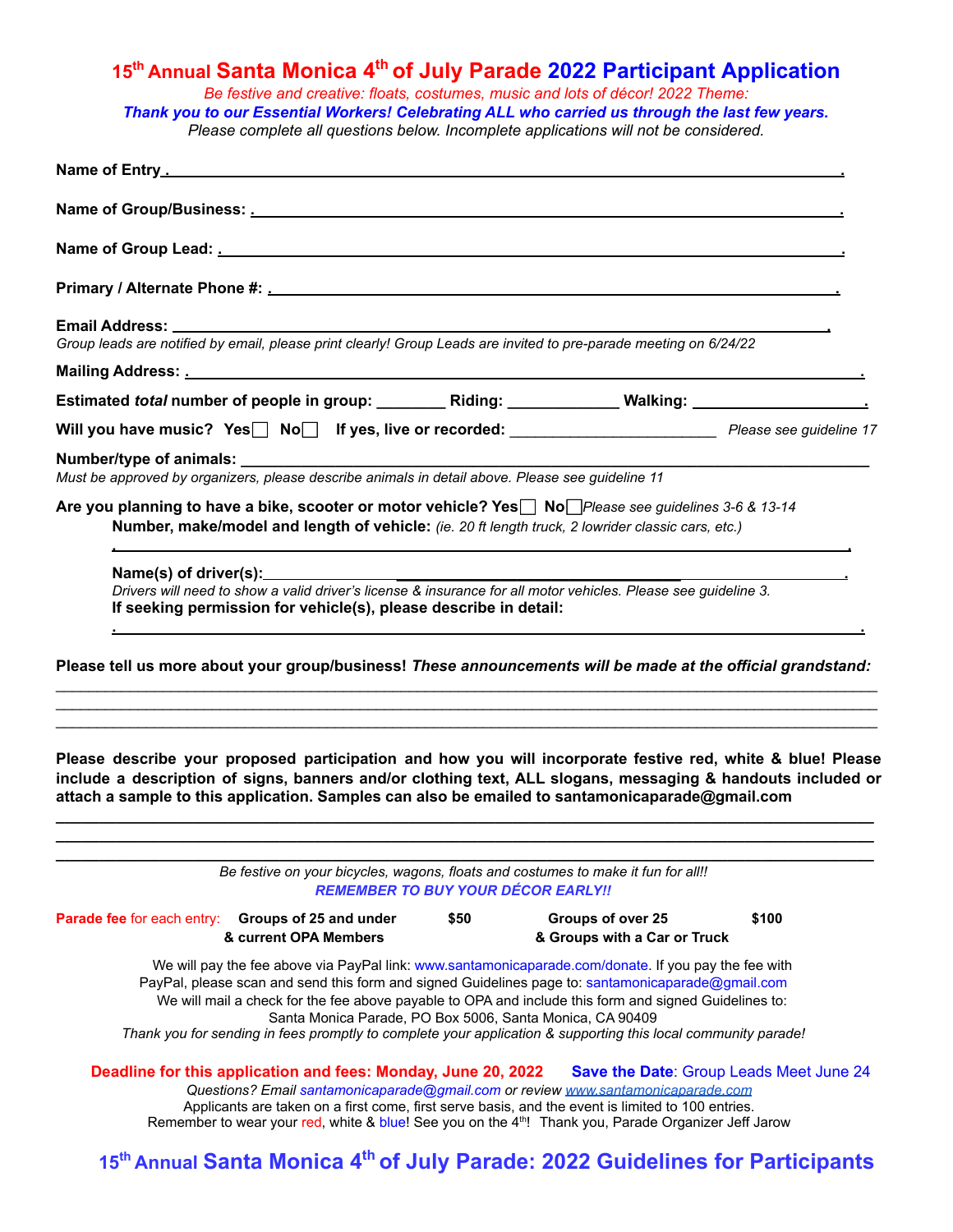## **15th Annual Santa Monica 4 th of July Parade 2022 Participant Application**

*Be festive and creative: floats, costumes, music and lots of décor! 2022 Theme:*

*Thank you to our Essential Workers! Celebrating ALL who carried us through the last few years. Please complete all questions below. Incomplete applications will not be considered.*

**Please describe your proposed participation and how you will incorporate festive red, white & blue! Please include a description of signs, banners and/or clothing text, ALL slogans, messaging & handouts included or attach a sample to this application. Samples can also be emailed to santamonicaparade@gmail.com**

**\_\_\_\_\_\_\_\_\_\_\_\_\_\_\_\_\_\_\_\_\_\_\_\_\_\_\_\_\_\_\_\_\_\_\_\_\_\_\_\_\_\_\_\_\_\_\_\_\_\_\_\_\_\_\_\_\_\_\_\_\_\_\_\_\_\_\_\_\_\_\_\_\_\_\_\_\_\_\_\_\_\_\_\_\_\_\_\_\_\_\_\_\_\_\_ \_\_\_\_\_\_\_\_\_\_\_\_\_\_\_\_\_\_\_\_\_\_\_\_\_\_\_\_\_\_\_\_\_\_\_\_\_\_\_\_\_\_\_\_\_\_\_\_\_\_\_\_\_\_\_\_\_\_\_\_\_\_\_\_\_\_\_\_\_\_\_\_\_\_\_\_\_\_\_\_\_\_\_\_\_\_\_\_\_\_\_\_\_\_\_**

| Be festive on your bicycles, wagons, floats and costumes to make it fun for all!!<br><b>REMEMBER TO BUY YOUR DÉCOR EARLY!!</b>                                                                                                                                                                                                                                                                                                      |      |                                                                                                                  |       |  |
|-------------------------------------------------------------------------------------------------------------------------------------------------------------------------------------------------------------------------------------------------------------------------------------------------------------------------------------------------------------------------------------------------------------------------------------|------|------------------------------------------------------------------------------------------------------------------|-------|--|
| <b>Parade fee for each entry:</b> Groups of 25 and under<br>& current OPA Members                                                                                                                                                                                                                                                                                                                                                   | \$50 | Groups of over 25<br>& Groups with a Car or Truck                                                                | \$100 |  |
| We will pay the fee above via PayPal link: www.santamonicaparade.com/donate. If you pay the fee with<br>PayPal, please scan and send this form and signed Guidelines page to: santamonicaparade@gmail.com<br>We will mail a check for the fee above payable to OPA and include this form and signed Guidelines to:<br>Thank you for sending in fees promptly to complete your application & supporting this local community parade! |      | Santa Monica Parade, PO Box 5006, Santa Monica, CA 90409                                                         |       |  |
| <b>Deadline for this application and fees: Monday, June 20, 2022 Save the Date: Group Leads Meet June 24</b><br>Questions? Email santamonicaparade@gmail.com or review www.santamonicaparade.com<br>Applicants are taken on a first come, first serve basis, and the event is limited to 100 entries.                                                                                                                               |      | Remember to wear your red, white & blue! See you on the 4 <sup>th</sup> ! Thank you, Parade Organizer Jeff Jarow |       |  |